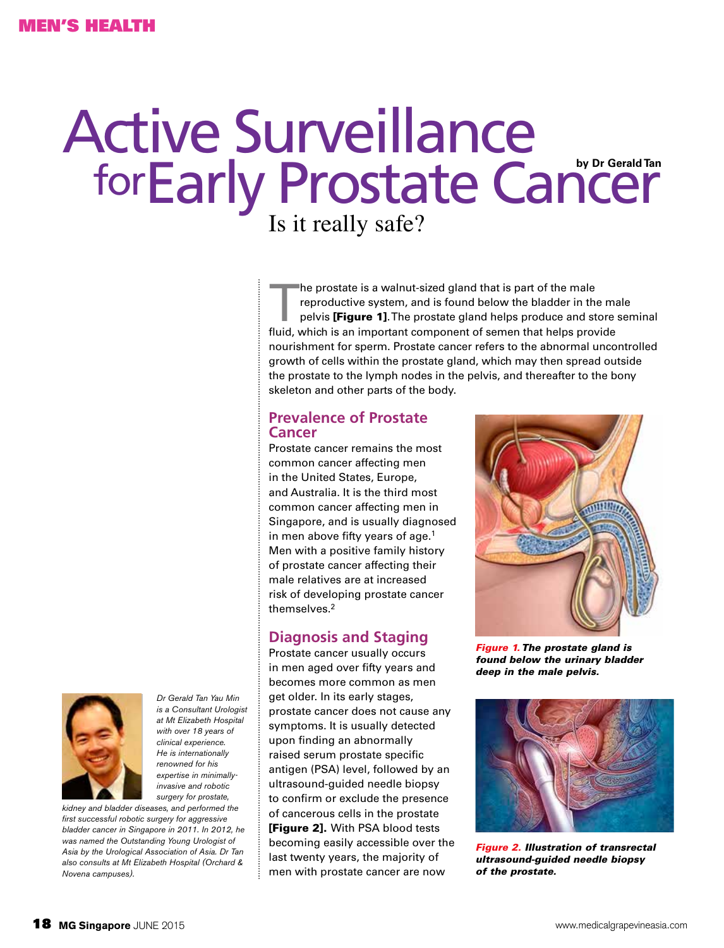# for Early Prostate Cancer Active Surveillance

Is it really safe?

The prostate is a walnut-sized gland that is part of the male<br>reproductive system, and is found below the bladder in the<br>pelvis **[Figure 1]**. The prostate gland helps produce and st<br>fluid which is an important component of reproductive system, and is found below the bladder in the male pelvis [Figure 1]. The prostate gland helps produce and store seminal fluid, which is an important component of semen that helps provide nourishment for sperm. Prostate cancer refers to the abnormal uncontrolled growth of cells within the prostate gland, which may then spread outside the prostate to the lymph nodes in the pelvis, and thereafter to the bony skeleton and other parts of the body.

### **Prevalence of Prostate Cancer**

Prostate cancer remains the most common cancer affecting men in the United States, Europe, and Australia. It is the third most common cancer affecting men in Singapore, and is usually diagnosed in men above fifty years of age.<sup>1</sup> Men with a positive family history of prostate cancer affecting their male relatives are at increased risk of developing prostate cancer themselves.2

# **Diagnosis and Staging**

Prostate cancer usually occurs in men aged over fifty years and becomes more common as men get older. In its early stages, prostate cancer does not cause any symptoms. It is usually detected upon finding an abnormally raised serum prostate specific antigen (PSA) level, followed by an ultrasound-guided needle biopsy to confirm or exclude the presence of cancerous cells in the prostate [Figure 2]. With PSA blood tests becoming easily accessible over the last twenty years, the majority of men with prostate cancer are now

*Figure 1. The prostate gland is found below the urinary bladder deep in the male pelvis.*



*Figure 2. Illustration of transrectal ultrasound-guided needle biopsy of the prostate.* 



*Dr Gerald Tan Yau Min is a Consultant Urologist at Mt Elizabeth Hospital with over 18 years of clinical experience. He is internationally renowned for his expertise in minimallyinvasive and robotic surgery for prostate,* 

*kidney and bladder diseases, and performed the first successful robotic surgery for aggressive bladder cancer in Singapore in 2011. In 2012, he was named the Outstanding Young Urologist of Asia by the Urological Association of Asia. Dr Tan also consults at Mt Elizabeth Hospital (Orchard & Novena campuses).*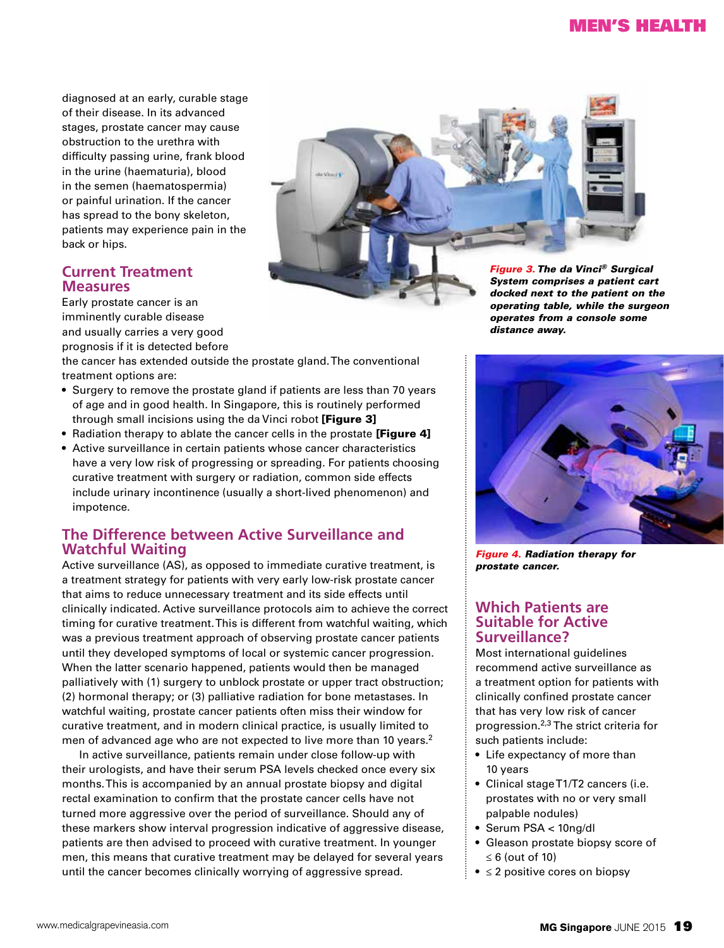# Men's Health

diagnosed at an early, curable stage of their disease. In its advanced stages, prostate cancer may cause obstruction to the urethra with difficulty passing urine, frank blood in the urine (haematuria), blood in the semen (haematospermia) or painful urination. If the cancer has spread to the bony skeleton, patients may experience pain in the back or hips.

### **Current Treatment Measures**

Early prostate cancer is an imminently curable disease and usually carries a very good prognosis if it is detected before



*System comprises a patient cart docked next to the patient on the operating table, while the surgeon operates from a console some distance away.*

the cancer has extended outside the prostate gland. The conventional treatment options are:

- Surgery to remove the prostate gland if patients are less than 70 years of age and in good health. In Singapore, this is routinely performed through small incisions using the da Vinci robot [Figure 3]
- Radiation therapy to ablate the cancer cells in the prostate [Figure 4]
- Active surveillance in certain patients whose cancer characteristics have a very low risk of progressing or spreading. For patients choosing curative treatment with surgery or radiation, common side effects include urinary incontinence (usually a short-lived phenomenon) and impotence.

# **The Difference between Active Surveillance and Watchful Waiting**

Active surveillance (AS), as opposed to immediate curative treatment, is a treatment strategy for patients with very early low-risk prostate cancer that aims to reduce unnecessary treatment and its side effects until clinically indicated. Active surveillance protocols aim to achieve the correct timing for curative treatment. This is different from watchful waiting, which was a previous treatment approach of observing prostate cancer patients until they developed symptoms of local or systemic cancer progression. When the latter scenario happened, patients would then be managed palliatively with (1) surgery to unblock prostate or upper tract obstruction; (2) hormonal therapy; or (3) palliative radiation for bone metastases. In watchful waiting, prostate cancer patients often miss their window for curative treatment, and in modern clinical practice, is usually limited to men of advanced age who are not expected to live more than 10 years.<sup>2</sup>

In active surveillance, patients remain under close follow-up with their urologists, and have their serum PSA levels checked once every six months. This is accompanied by an annual prostate biopsy and digital rectal examination to confirm that the prostate cancer cells have not turned more aggressive over the period of surveillance. Should any of these markers show interval progression indicative of aggressive disease, patients are then advised to proceed with curative treatment. In younger men, this means that curative treatment may be delayed for several years until the cancer becomes clinically worrying of aggressive spread.



*Figure 4. Radiation therapy for prostate cancer.*

#### **Which Patients are Suitable for Active Surveillance?**

Most international guidelines recommend active surveillance as a treatment option for patients with clinically confined prostate cancer that has very low risk of cancer progression.2,3 The strict criteria for such patients include:

- Life expectancy of more than 10 years
- Clinical stage T1/T2 cancers (i.e. prostates with no or very small palpable nodules)
- Serum PSA < 10ng/dl
- Gleason prostate biopsy score of ≤ 6 (out of 10)
- $\bullet \leq 2$  positive cores on biopsy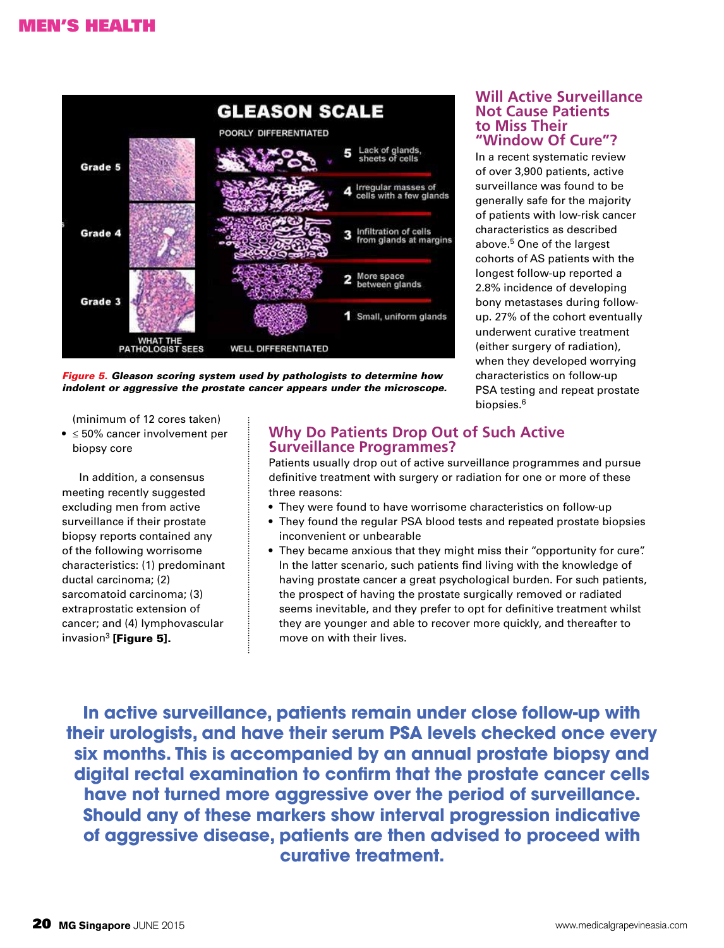

*Figure 5. Gleason scoring system used by pathologists to determine how indolent or aggressive the prostate cancer appears under the microscope.*

(minimum of 12 cores taken)

• ≤ 50% cancer involvement per biopsy core

In addition, a consensus meeting recently suggested excluding men from active surveillance if their prostate biopsy reports contained any of the following worrisome characteristics: (1) predominant ductal carcinoma; (2) sarcomatoid carcinoma; (3) extraprostatic extension of cancer; and (4) lymphovascular invasion $3$  [Figure 5].

# **Why Do Patients Drop Out of Such Active Surveillance Programmes?**

Patients usually drop out of active surveillance programmes and pursue definitive treatment with surgery or radiation for one or more of these three reasons:

- They were found to have worrisome characteristics on follow-up
- They found the regular PSA blood tests and repeated prostate biopsies inconvenient or unbearable
- They became anxious that they might miss their "opportunity for cure". In the latter scenario, such patients find living with the knowledge of having prostate cancer a great psychological burden. For such patients, the prospect of having the prostate surgically removed or radiated seems inevitable, and they prefer to opt for definitive treatment whilst they are younger and able to recover more quickly, and thereafter to move on with their lives.

**In active surveillance, patients remain under close follow-up with their urologists, and have their serum PSA levels checked once every six months. This is accompanied by an annual prostate biopsy and digital rectal examination to confirm that the prostate cancer cells have not turned more aggressive over the period of surveillance. Should any of these markers show interval progression indicative of aggressive disease, patients are then advised to proceed with curative treatment.**

#### **Will Active Surveillance Not Cause Patients to Miss Their "Window Of Cure"?**

In a recent systematic review of over 3,900 patients, active surveillance was found to be generally safe for the majority of patients with low-risk cancer characteristics as described above.5 One of the largest cohorts of AS patients with the longest follow-up reported a 2.8% incidence of developing bony metastases during followup. 27% of the cohort eventually underwent curative treatment (either surgery of radiation), when they developed worrying characteristics on follow-up PSA testing and repeat prostate biopsies.6